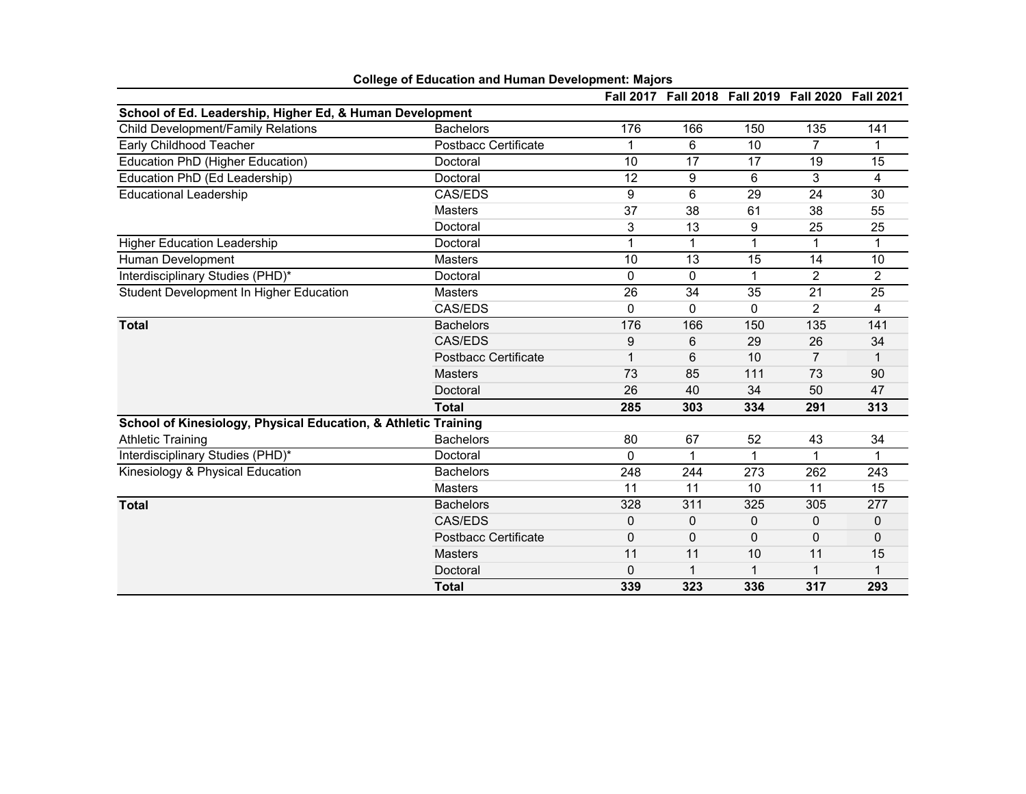|                                                                |                             |              |           | Fall 2017 Fall 2018 Fall 2019 Fall 2020 Fall 2021 |                |                      |
|----------------------------------------------------------------|-----------------------------|--------------|-----------|---------------------------------------------------|----------------|----------------------|
| School of Ed. Leadership, Higher Ed, & Human Development       |                             |              |           |                                                   |                |                      |
| Child Development/Family Relations                             | <b>Bachelors</b>            | 176          | 166       | 150                                               | 135            | 141                  |
| Early Childhood Teacher                                        | <b>Postbacc Certificate</b> | 1            | 6         | 10                                                | $\overline{7}$ |                      |
| Education PhD (Higher Education)                               | Doctoral                    | 10           | 17        | 17                                                | 19             | 15                   |
| Education PhD (Ed Leadership)                                  | Doctoral                    | 12           | 9         | 6                                                 | 3              | 4                    |
| <b>Educational Leadership</b>                                  | CAS/EDS                     | 9            | 6         | 29                                                | 24             | 30                   |
|                                                                | <b>Masters</b>              | 37           | 38        | 61                                                | 38             | 55                   |
|                                                                | Doctoral                    | 3            | 13        | 9                                                 | 25             | 25                   |
| <b>Higher Education Leadership</b>                             | Doctoral                    | $\mathbf{1}$ | 1         | 1                                                 | 1              | 1                    |
| Human Development                                              | <b>Masters</b>              | 10           | 13        | 15                                                | 14             | 10                   |
| Interdisciplinary Studies (PHD)*                               | Doctoral                    | $\mathbf{0}$ | 0         | 1                                                 | $\overline{2}$ | $\overline{2}$       |
| Student Development In Higher Education                        | <b>Masters</b>              | 26           | 34        | 35                                                | 21             | 25                   |
|                                                                | CAS/EDS                     | 0            | 0         | 0                                                 | 2              | 4                    |
| <b>Total</b>                                                   | <b>Bachelors</b>            | 176          | 166       | 150                                               | 135            | 141                  |
|                                                                | <b>CAS/EDS</b>              | 9            | 6         | 29                                                | 26             | 34                   |
|                                                                | <b>Postbacc Certificate</b> | 1            | 6         | 10                                                | 7              |                      |
|                                                                | <b>Masters</b>              | 73           | 85        | 111                                               | 73             | 90                   |
|                                                                | Doctoral                    | 26           | 40        | 34                                                | 50             | 47                   |
|                                                                | <b>Total</b>                | 285          | 303       | 334                                               | 291            | 313                  |
| School of Kinesiology, Physical Education, & Athletic Training |                             |              |           |                                                   |                |                      |
| <b>Athletic Training</b>                                       | <b>Bachelors</b>            | 80           | 67        | 52                                                | 43             | 34                   |
| Interdisciplinary Studies (PHD)*                               | Doctoral                    | 0            | 1         | 1                                                 | 1              | $\blacktriangleleft$ |
| Kinesiology & Physical Education                               | <b>Bachelors</b>            | 248          | 244       | 273                                               | 262            | 243                  |
|                                                                | <b>Masters</b>              | 11           | 11        | 10                                                | 11             | 15                   |
| <b>Total</b>                                                   | <b>Bachelors</b>            | 328          | 311       | 325                                               | 305            | 277                  |
|                                                                | CAS/EDS                     | 0            | $\pmb{0}$ | 0                                                 | 0              | 0                    |
|                                                                | <b>Postbacc Certificate</b> | $\mathbf 0$  | 0         | 0                                                 | $\mathbf 0$    | $\Omega$             |
|                                                                | <b>Masters</b>              | 11           | 11        | 10                                                | 11             | 15                   |
|                                                                | Doctoral                    | $\Omega$     |           |                                                   |                |                      |
|                                                                | <b>Total</b>                | 339          | 323       | 336                                               | 317            | 293                  |

## **College of Education and Human Development: Majors**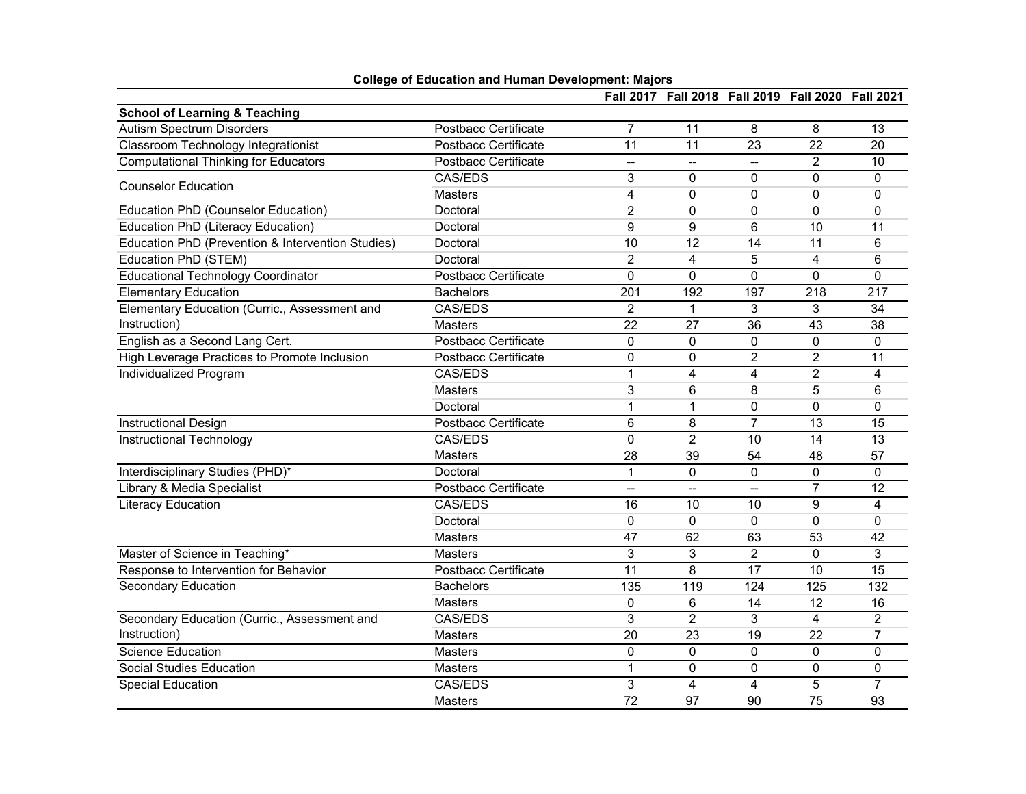|                                                   |                             |                          | Fall 2017 Fall 2018 Fall 2019 Fall 2020 Fall 2021 |                          |                |                         |
|---------------------------------------------------|-----------------------------|--------------------------|---------------------------------------------------|--------------------------|----------------|-------------------------|
| <b>School of Learning &amp; Teaching</b>          |                             |                          |                                                   |                          |                |                         |
| <b>Autism Spectrum Disorders</b>                  | <b>Postbacc Certificate</b> | $\overline{7}$           | 11                                                | 8                        | 8              | 13                      |
| Classroom Technology Integrationist               | Postbacc Certificate        | 11                       | 11                                                | 23                       | 22             | 20                      |
| <b>Computational Thinking for Educators</b>       | <b>Postbacc Certificate</b> | $\overline{\phantom{a}}$ | --                                                | --                       | $\overline{2}$ | 10                      |
| <b>Counselor Education</b>                        | CAS/EDS                     | 3                        | 0                                                 | 0                        | $\mathbf{0}$   | 0                       |
|                                                   | <b>Masters</b>              | 4                        | 0                                                 | 0                        | 0              | $\mathbf 0$             |
| Education PhD (Counselor Education)               | Doctoral                    | $\overline{2}$           | $\mathbf 0$                                       | 0                        | 0              | 0                       |
| <b>Education PhD (Literacy Education)</b>         | Doctoral                    | 9                        | 9                                                 | 6                        | 10             | 11                      |
| Education PhD (Prevention & Intervention Studies) | Doctoral                    | 10                       | 12                                                | 14                       | 11             | 6                       |
| Education PhD (STEM)                              | Doctoral                    | $\overline{c}$           | 4                                                 | 5                        | 4              | 6                       |
| <b>Educational Technology Coordinator</b>         | Postbacc Certificate        | $\Omega$                 | 0                                                 | 0                        | $\Omega$       | $\mathbf{0}$            |
| <b>Elementary Education</b>                       | <b>Bachelors</b>            | 201                      | 192                                               | 197                      | 218            | 217                     |
| Elementary Education (Curric., Assessment and     | CAS/EDS                     | $\overline{2}$           | 1                                                 | 3                        | 3              | 34                      |
| Instruction)                                      | Masters                     | 22                       | 27                                                | 36                       | 43             | 38                      |
| English as a Second Lang Cert.                    | <b>Postbacc Certificate</b> | 0                        | 0                                                 | 0                        | $\mathbf 0$    | 0                       |
| High Leverage Practices to Promote Inclusion      | Postbacc Certificate        | $\mathbf 0$              | 0                                                 | $\overline{c}$           | $\overline{c}$ | 11                      |
| Individualized Program                            | CAS/EDS                     | $\mathbf{1}$             | 4                                                 | $\overline{4}$           | $\overline{2}$ | 4                       |
|                                                   | <b>Masters</b>              | 3                        | 6                                                 | 8                        | 5              | 6                       |
|                                                   | Doctoral                    | 1                        | 1                                                 | 0                        | $\Omega$       | $\Omega$                |
| <b>Instructional Design</b>                       | <b>Postbacc Certificate</b> | $6\phantom{1}$           | 8                                                 | $\overline{7}$           | 13             | $\overline{15}$         |
| Instructional Technology                          | CAS/EDS                     | $\mathbf 0$              | $\overline{2}$                                    | 10                       | 14             | 13                      |
|                                                   | Masters                     | 28                       | 39                                                | 54                       | 48             | 57                      |
| Interdisciplinary Studies (PHD)*                  | Doctoral                    | $\mathbf{1}$             | 0                                                 | 0                        | 0              | $\mathbf 0$             |
| Library & Media Specialist                        | Postbacc Certificate        | $\overline{\phantom{a}}$ | -−                                                | $\overline{\phantom{0}}$ | $\overline{7}$ | 12                      |
| <b>Literacy Education</b>                         | <b>CAS/EDS</b>              | 16                       | 10                                                | $\overline{10}$          | $\overline{9}$ | $\overline{\mathbf{4}}$ |
|                                                   | Doctoral                    | 0                        | 0                                                 | 0                        | $\Omega$       | $\Omega$                |
|                                                   | <b>Masters</b>              | 47                       | 62                                                | 63                       | 53             | 42                      |
| Master of Science in Teaching*                    | Masters                     | 3                        | 3                                                 | $\overline{2}$           | $\mathbf 0$    | 3                       |
| Response to Intervention for Behavior             | Postbacc Certificate        | 11                       | 8                                                 | 17                       | 10             | 15                      |
| <b>Secondary Education</b>                        | <b>Bachelors</b>            | 135                      | 119                                               | 124                      | 125            | 132                     |
|                                                   | Masters                     | 0                        | 6                                                 | 14                       | 12             | 16                      |
| Secondary Education (Curric., Assessment and      | <b>CAS/EDS</b>              | 3                        | $\overline{2}$                                    | 3                        | $\overline{4}$ | $\overline{2}$          |
| Instruction)                                      | <b>Masters</b>              | 20                       | 23                                                | 19                       | 22             | 7                       |
| <b>Science Education</b>                          | <b>Masters</b>              | $\mathbf 0$              | 0                                                 | 0                        | $\mathbf 0$    | $\mathbf 0$             |
| <b>Social Studies Education</b>                   | <b>Masters</b>              | $\mathbf{1}$             | 0                                                 | 0                        | $\mathbf 0$    | 0                       |
| <b>Special Education</b>                          | CAS/EDS                     | 3                        | 4                                                 | 4                        | 5              | 7                       |
|                                                   | Masters                     | 72                       | 97                                                | 90                       | 75             | 93                      |

## **College of Education and Human Development: Majors**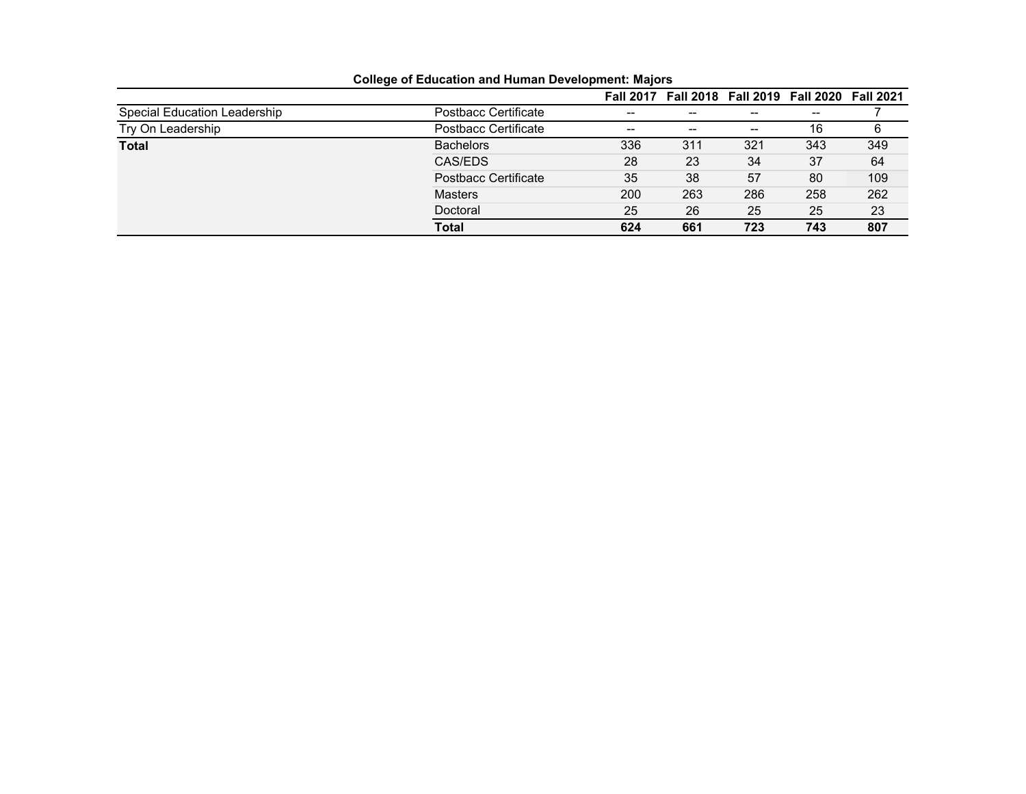|                              |                      | <b>Fall 2017</b>  | Fall 2018 Fall 2019 Fall 2020 Fall 2021 |     |       |     |
|------------------------------|----------------------|-------------------|-----------------------------------------|-----|-------|-----|
| Special Education Leadership | Postbacc Certificate | $\hspace{0.05cm}$ | --                                      | --  | $- -$ |     |
| Try On Leadership            | Postbacc Certificate | $- -$             | $- -$                                   | --  | 16    | 6   |
| <b>Total</b>                 | <b>Bachelors</b>     | 336               | 311                                     | 321 | 343   | 349 |
|                              | CAS/EDS              | 28                | 23                                      | 34  | 37    | 64  |
|                              | Postbacc Certificate | 35                | 38                                      | 57  | 80    | 109 |
|                              | <b>Masters</b>       | 200               | 263                                     | 286 | 258   | 262 |
|                              | Doctoral             | 25                | 26                                      | 25  | 25    | 23  |
|                              | Total                | 624               | 661                                     | 723 | 743   | 807 |

**College of Education and Human Development: Majors**